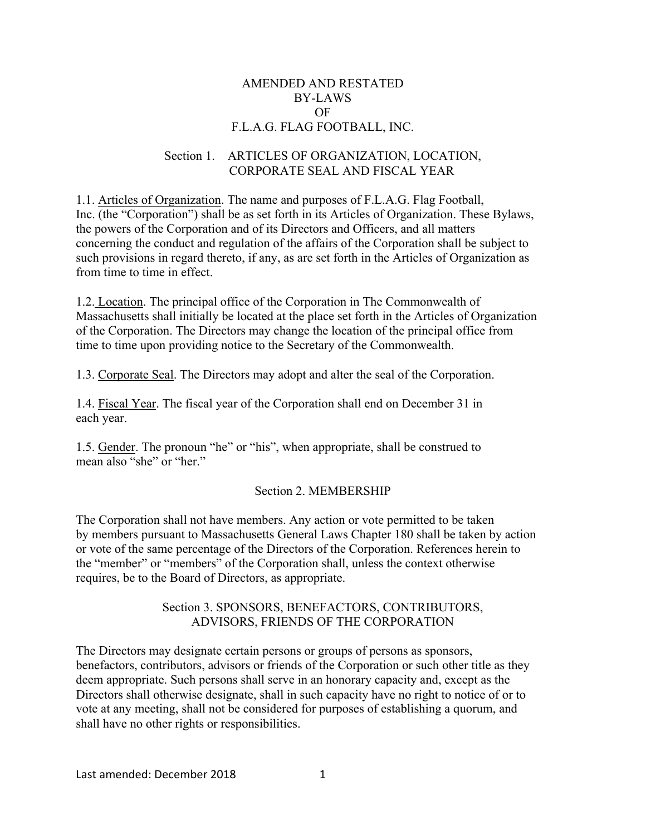#### AMENDED AND RESTATED BY-LAWS OF F.L.A.G. FLAG FOOTBALL, INC.

#### Section 1. ARTICLES OF ORGANIZATION, LOCATION, CORPORATE SEAL AND FISCAL YEAR

1.1. Articles of Organization. The name and purposes of F.L.A.G. Flag Football, Inc. (the "Corporation") shall be as set forth in its Articles of Organization. These Bylaws, the powers of the Corporation and of its Directors and Officers, and all matters concerning the conduct and regulation of the affairs of the Corporation shall be subject to such provisions in regard thereto, if any, as are set forth in the Articles of Organization as from time to time in effect.

1.2. Location. The principal office of the Corporation in The Commonwealth of Massachusetts shall initially be located at the place set forth in the Articles of Organization of the Corporation. The Directors may change the location of the principal office from time to time upon providing notice to the Secretary of the Commonwealth.

1.3. Corporate Seal. The Directors may adopt and alter the seal of the Corporation.

1.4. Fiscal Year. The fiscal year of the Corporation shall end on December 31 in each year.

1.5. Gender. The pronoun "he" or "his", when appropriate, shall be construed to mean also "she" or "her."

## Section 2. MEMBERSHIP

The Corporation shall not have members. Any action or vote permitted to be taken by members pursuant to Massachusetts General Laws Chapter 180 shall be taken by action or vote of the same percentage of the Directors of the Corporation. References herein to the "member" or "members" of the Corporation shall, unless the context otherwise requires, be to the Board of Directors, as appropriate.

#### Section 3. SPONSORS, BENEFACTORS, CONTRIBUTORS, ADVISORS, FRIENDS OF THE CORPORATION

The Directors may designate certain persons or groups of persons as sponsors, benefactors, contributors, advisors or friends of the Corporation or such other title as they deem appropriate. Such persons shall serve in an honorary capacity and, except as the Directors shall otherwise designate, shall in such capacity have no right to notice of or to vote at any meeting, shall not be considered for purposes of establishing a quorum, and shall have no other rights or responsibilities.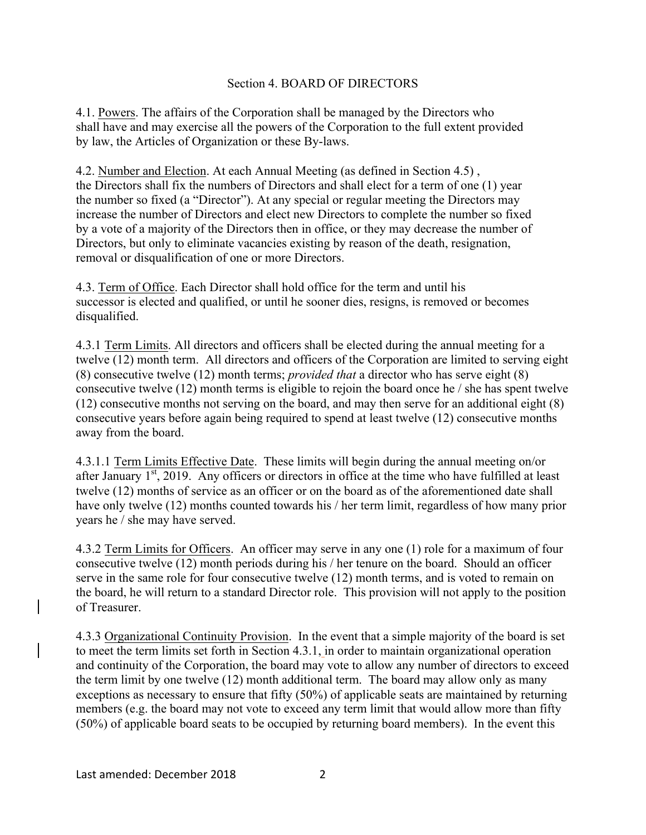#### Section 4. BOARD OF DIRECTORS

4.1. Powers. The affairs of the Corporation shall be managed by the Directors who shall have and may exercise all the powers of the Corporation to the full extent provided by law, the Articles of Organization or these By-laws.

4.2. Number and Election. At each Annual Meeting (as defined in Section 4.5) , the Directors shall fix the numbers of Directors and shall elect for a term of one (1) year the number so fixed (a "Director"). At any special or regular meeting the Directors may increase the number of Directors and elect new Directors to complete the number so fixed by a vote of a majority of the Directors then in office, or they may decrease the number of Directors, but only to eliminate vacancies existing by reason of the death, resignation, removal or disqualification of one or more Directors.

4.3. Term of Office. Each Director shall hold office for the term and until his successor is elected and qualified, or until he sooner dies, resigns, is removed or becomes disqualified.

4.3.1 Term Limits. All directors and officers shall be elected during the annual meeting for a twelve (12) month term. All directors and officers of the Corporation are limited to serving eight (8) consecutive twelve (12) month terms; *provided that* a director who has serve eight (8) consecutive twelve (12) month terms is eligible to rejoin the board once he / she has spent twelve (12) consecutive months not serving on the board, and may then serve for an additional eight (8) consecutive years before again being required to spend at least twelve (12) consecutive months away from the board.

4.3.1.1 Term Limits Effective Date. These limits will begin during the annual meeting on/or after January  $1<sup>st</sup>$ , 2019. Any officers or directors in office at the time who have fulfilled at least twelve (12) months of service as an officer or on the board as of the aforementioned date shall have only twelve (12) months counted towards his / her term limit, regardless of how many prior years he / she may have served.

4.3.2 Term Limits for Officers. An officer may serve in any one (1) role for a maximum of four consecutive twelve (12) month periods during his / her tenure on the board. Should an officer serve in the same role for four consecutive twelve (12) month terms, and is voted to remain on the board, he will return to a standard Director role. This provision will not apply to the position of Treasurer.

4.3.3 Organizational Continuity Provision. In the event that a simple majority of the board is set to meet the term limits set forth in Section 4.3.1, in order to maintain organizational operation and continuity of the Corporation, the board may vote to allow any number of directors to exceed the term limit by one twelve (12) month additional term. The board may allow only as many exceptions as necessary to ensure that fifty (50%) of applicable seats are maintained by returning members (e.g. the board may not vote to exceed any term limit that would allow more than fifty (50%) of applicable board seats to be occupied by returning board members). In the event this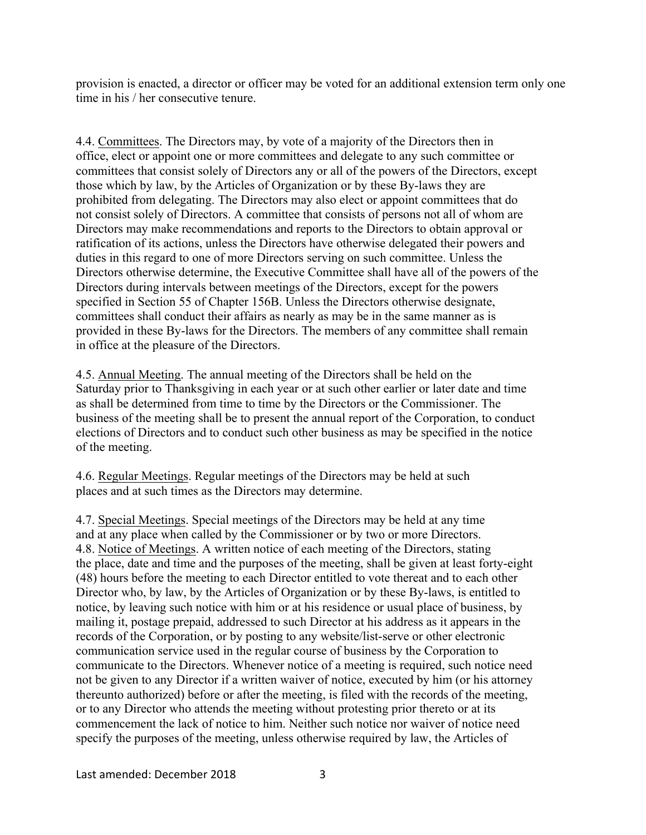provision is enacted, a director or officer may be voted for an additional extension term only one time in his / her consecutive tenure.

4.4. Committees. The Directors may, by vote of a majority of the Directors then in office, elect or appoint one or more committees and delegate to any such committee or committees that consist solely of Directors any or all of the powers of the Directors, except those which by law, by the Articles of Organization or by these By-laws they are prohibited from delegating. The Directors may also elect or appoint committees that do not consist solely of Directors. A committee that consists of persons not all of whom are Directors may make recommendations and reports to the Directors to obtain approval or ratification of its actions, unless the Directors have otherwise delegated their powers and duties in this regard to one of more Directors serving on such committee. Unless the Directors otherwise determine, the Executive Committee shall have all of the powers of the Directors during intervals between meetings of the Directors, except for the powers specified in Section 55 of Chapter 156B. Unless the Directors otherwise designate, committees shall conduct their affairs as nearly as may be in the same manner as is provided in these By-laws for the Directors. The members of any committee shall remain in office at the pleasure of the Directors.

4.5. Annual Meeting. The annual meeting of the Directors shall be held on the Saturday prior to Thanksgiving in each year or at such other earlier or later date and time as shall be determined from time to time by the Directors or the Commissioner. The business of the meeting shall be to present the annual report of the Corporation, to conduct elections of Directors and to conduct such other business as may be specified in the notice of the meeting.

4.6. Regular Meetings. Regular meetings of the Directors may be held at such places and at such times as the Directors may determine.

4.7. Special Meetings. Special meetings of the Directors may be held at any time and at any place when called by the Commissioner or by two or more Directors. 4.8. Notice of Meetings. A written notice of each meeting of the Directors, stating the place, date and time and the purposes of the meeting, shall be given at least forty-eight (48) hours before the meeting to each Director entitled to vote thereat and to each other Director who, by law, by the Articles of Organization or by these By-laws, is entitled to notice, by leaving such notice with him or at his residence or usual place of business, by mailing it, postage prepaid, addressed to such Director at his address as it appears in the records of the Corporation, or by posting to any website/list-serve or other electronic communication service used in the regular course of business by the Corporation to communicate to the Directors. Whenever notice of a meeting is required, such notice need not be given to any Director if a written waiver of notice, executed by him (or his attorney thereunto authorized) before or after the meeting, is filed with the records of the meeting, or to any Director who attends the meeting without protesting prior thereto or at its commencement the lack of notice to him. Neither such notice nor waiver of notice need specify the purposes of the meeting, unless otherwise required by law, the Articles of

Last amended: December 2018 3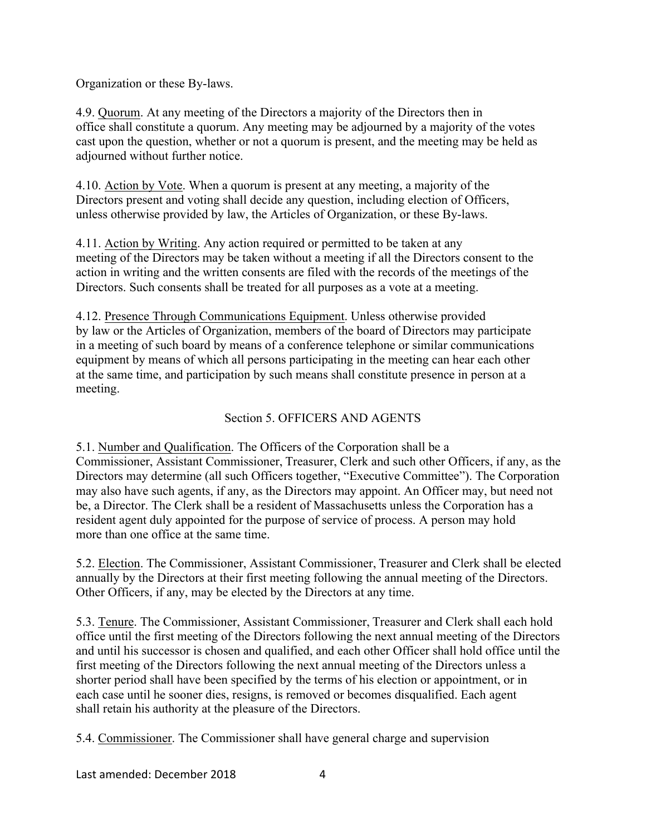Organization or these By-laws.

4.9. Quorum. At any meeting of the Directors a majority of the Directors then in office shall constitute a quorum. Any meeting may be adjourned by a majority of the votes cast upon the question, whether or not a quorum is present, and the meeting may be held as adjourned without further notice.

4.10. Action by Vote. When a quorum is present at any meeting, a majority of the Directors present and voting shall decide any question, including election of Officers, unless otherwise provided by law, the Articles of Organization, or these By-laws.

4.11. Action by Writing. Any action required or permitted to be taken at any meeting of the Directors may be taken without a meeting if all the Directors consent to the action in writing and the written consents are filed with the records of the meetings of the Directors. Such consents shall be treated for all purposes as a vote at a meeting.

4.12. Presence Through Communications Equipment. Unless otherwise provided by law or the Articles of Organization, members of the board of Directors may participate in a meeting of such board by means of a conference telephone or similar communications equipment by means of which all persons participating in the meeting can hear each other at the same time, and participation by such means shall constitute presence in person at a meeting.

# Section 5. OFFICERS AND AGENTS

5.1. Number and Qualification. The Officers of the Corporation shall be a Commissioner, Assistant Commissioner, Treasurer, Clerk and such other Officers, if any, as the Directors may determine (all such Officers together, "Executive Committee"). The Corporation may also have such agents, if any, as the Directors may appoint. An Officer may, but need not be, a Director. The Clerk shall be a resident of Massachusetts unless the Corporation has a resident agent duly appointed for the purpose of service of process. A person may hold more than one office at the same time.

5.2. Election. The Commissioner, Assistant Commissioner, Treasurer and Clerk shall be elected annually by the Directors at their first meeting following the annual meeting of the Directors. Other Officers, if any, may be elected by the Directors at any time.

5.3. Tenure. The Commissioner, Assistant Commissioner, Treasurer and Clerk shall each hold office until the first meeting of the Directors following the next annual meeting of the Directors and until his successor is chosen and qualified, and each other Officer shall hold office until the first meeting of the Directors following the next annual meeting of the Directors unless a shorter period shall have been specified by the terms of his election or appointment, or in each case until he sooner dies, resigns, is removed or becomes disqualified. Each agent shall retain his authority at the pleasure of the Directors.

5.4. Commissioner. The Commissioner shall have general charge and supervision

Last amended: December 2018 4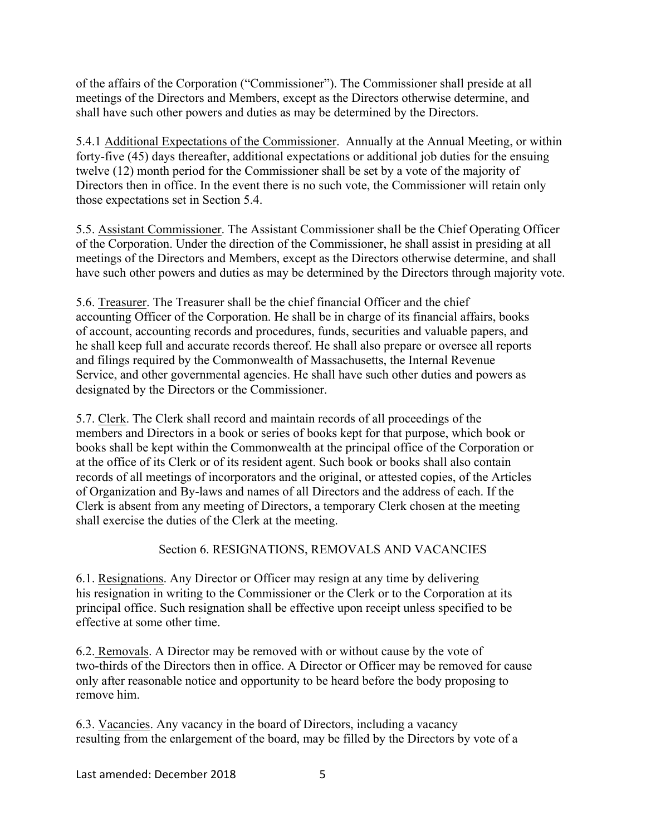of the affairs of the Corporation ("Commissioner"). The Commissioner shall preside at all meetings of the Directors and Members, except as the Directors otherwise determine, and shall have such other powers and duties as may be determined by the Directors.

5.4.1 Additional Expectations of the Commissioner. Annually at the Annual Meeting, or within forty-five (45) days thereafter, additional expectations or additional job duties for the ensuing twelve (12) month period for the Commissioner shall be set by a vote of the majority of Directors then in office. In the event there is no such vote, the Commissioner will retain only those expectations set in Section 5.4.

5.5. Assistant Commissioner. The Assistant Commissioner shall be the Chief Operating Officer of the Corporation. Under the direction of the Commissioner, he shall assist in presiding at all meetings of the Directors and Members, except as the Directors otherwise determine, and shall have such other powers and duties as may be determined by the Directors through majority vote.

5.6. Treasurer. The Treasurer shall be the chief financial Officer and the chief accounting Officer of the Corporation. He shall be in charge of its financial affairs, books of account, accounting records and procedures, funds, securities and valuable papers, and he shall keep full and accurate records thereof. He shall also prepare or oversee all reports and filings required by the Commonwealth of Massachusetts, the Internal Revenue Service, and other governmental agencies. He shall have such other duties and powers as designated by the Directors or the Commissioner.

5.7. Clerk. The Clerk shall record and maintain records of all proceedings of the members and Directors in a book or series of books kept for that purpose, which book or books shall be kept within the Commonwealth at the principal office of the Corporation or at the office of its Clerk or of its resident agent. Such book or books shall also contain records of all meetings of incorporators and the original, or attested copies, of the Articles of Organization and By-laws and names of all Directors and the address of each. If the Clerk is absent from any meeting of Directors, a temporary Clerk chosen at the meeting shall exercise the duties of the Clerk at the meeting.

## Section 6. RESIGNATIONS, REMOVALS AND VACANCIES

6.1. Resignations. Any Director or Officer may resign at any time by delivering his resignation in writing to the Commissioner or the Clerk or to the Corporation at its principal office. Such resignation shall be effective upon receipt unless specified to be effective at some other time.

6.2. Removals. A Director may be removed with or without cause by the vote of two-thirds of the Directors then in office. A Director or Officer may be removed for cause only after reasonable notice and opportunity to be heard before the body proposing to remove him.

6.3. Vacancies. Any vacancy in the board of Directors, including a vacancy resulting from the enlargement of the board, may be filled by the Directors by vote of a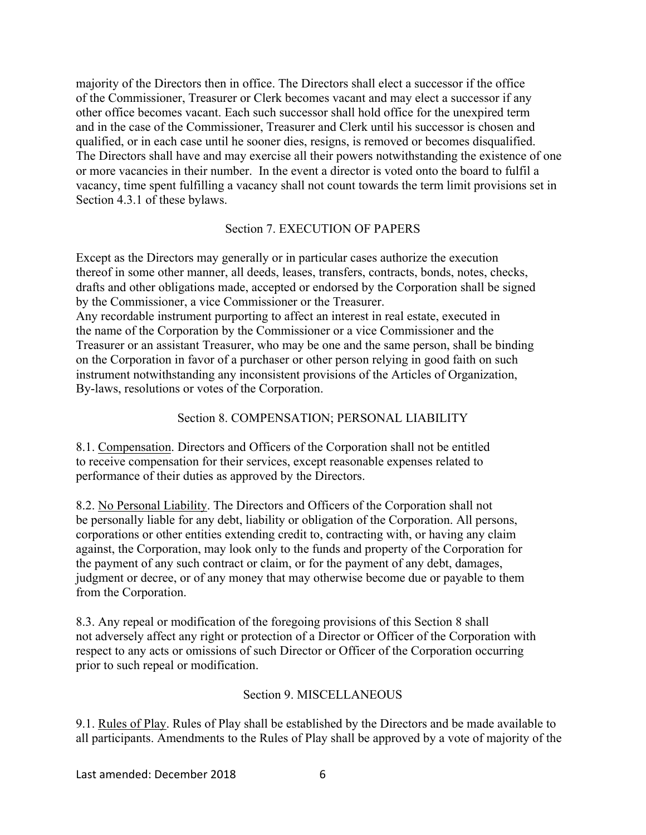majority of the Directors then in office. The Directors shall elect a successor if the office of the Commissioner, Treasurer or Clerk becomes vacant and may elect a successor if any other office becomes vacant. Each such successor shall hold office for the unexpired term and in the case of the Commissioner, Treasurer and Clerk until his successor is chosen and qualified, or in each case until he sooner dies, resigns, is removed or becomes disqualified. The Directors shall have and may exercise all their powers notwithstanding the existence of one or more vacancies in their number. In the event a director is voted onto the board to fulfil a vacancy, time spent fulfilling a vacancy shall not count towards the term limit provisions set in Section 4.3.1 of these bylaws.

## Section 7. EXECUTION OF PAPERS

Except as the Directors may generally or in particular cases authorize the execution thereof in some other manner, all deeds, leases, transfers, contracts, bonds, notes, checks, drafts and other obligations made, accepted or endorsed by the Corporation shall be signed by the Commissioner, a vice Commissioner or the Treasurer. Any recordable instrument purporting to affect an interest in real estate, executed in the name of the Corporation by the Commissioner or a vice Commissioner and the Treasurer or an assistant Treasurer, who may be one and the same person, shall be binding on the Corporation in favor of a purchaser or other person relying in good faith on such

instrument notwithstanding any inconsistent provisions of the Articles of Organization, By-laws, resolutions or votes of the Corporation.

# Section 8. COMPENSATION; PERSONAL LIABILITY

8.1. Compensation. Directors and Officers of the Corporation shall not be entitled to receive compensation for their services, except reasonable expenses related to performance of their duties as approved by the Directors.

8.2. No Personal Liability. The Directors and Officers of the Corporation shall not be personally liable for any debt, liability or obligation of the Corporation. All persons, corporations or other entities extending credit to, contracting with, or having any claim against, the Corporation, may look only to the funds and property of the Corporation for the payment of any such contract or claim, or for the payment of any debt, damages, judgment or decree, or of any money that may otherwise become due or payable to them from the Corporation.

8.3. Any repeal or modification of the foregoing provisions of this Section 8 shall not adversely affect any right or protection of a Director or Officer of the Corporation with respect to any acts or omissions of such Director or Officer of the Corporation occurring prior to such repeal or modification.

## Section 9. MISCELLANEOUS

9.1. Rules of Play. Rules of Play shall be established by the Directors and be made available to all participants. Amendments to the Rules of Play shall be approved by a vote of majority of the

Last amended: December 2018 6